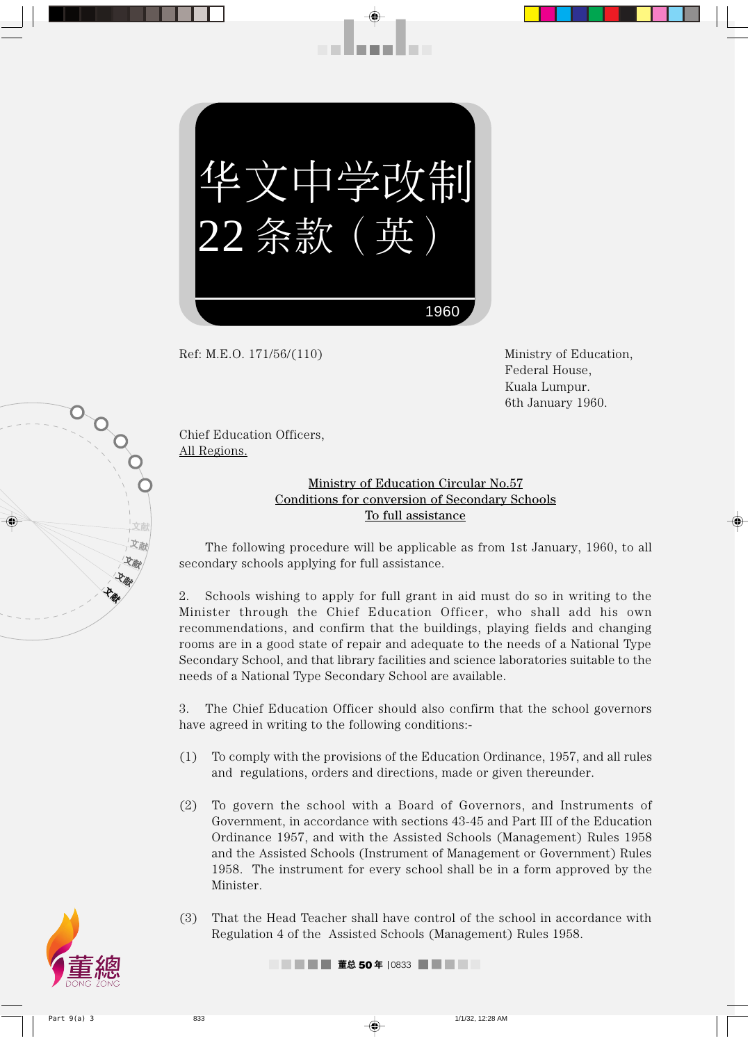华文 中学改制 22 条款 (英  $\bigg)$ 1960

. . . . . . . .

Ref: M.E.O. 171/56/(110) Ministry of Education,

Federal House, Kuala Lumpur. 6th January 1960.

Chief Education Officers, All Regions.

文献 文献 飞颜 **PAR -12 miles** 

OOO

## Ministry of Education Circular No.57 Conditions for conversion of Secondary Schools To full assistance

The following procedure will be applicable as from 1st January, 1960, to all secondary schools applying for full assistance.

2. Schools wishing to apply for full grant in aid must do so in writing to the Minister through the Chief Education Officer, who shall add his own recommendations, and confirm that the buildings, playing fields and changing rooms are in a good state of repair and adequate to the needs of a National Type Secondary School, and that library facilities and science laboratories suitable to the needs of a National Type Secondary School are available.

3. The Chief Education Officer should also confirm that the school governors have agreed in writing to the following conditions:-

- (1) To comply with the provisions of the Education Ordinance, 1957, and all rules and regulations, orders and directions, made or given thereunder.
- (2) To govern the school with a Board of Governors, and Instruments of Government, in accordance with sections 43-45 and Part III of the Education Ordinance 1957, and with the Assisted Schools (Management) Rules 1958 and the Assisted Schools (Instrument of Management or Government) Rules 1958. The instrument for every school shall be in a form approved by the Minister.
- (3) That the Head Teacher shall have control of the school in accordance with Regulation 4 of the Assisted Schools (Management) Rules 1958.

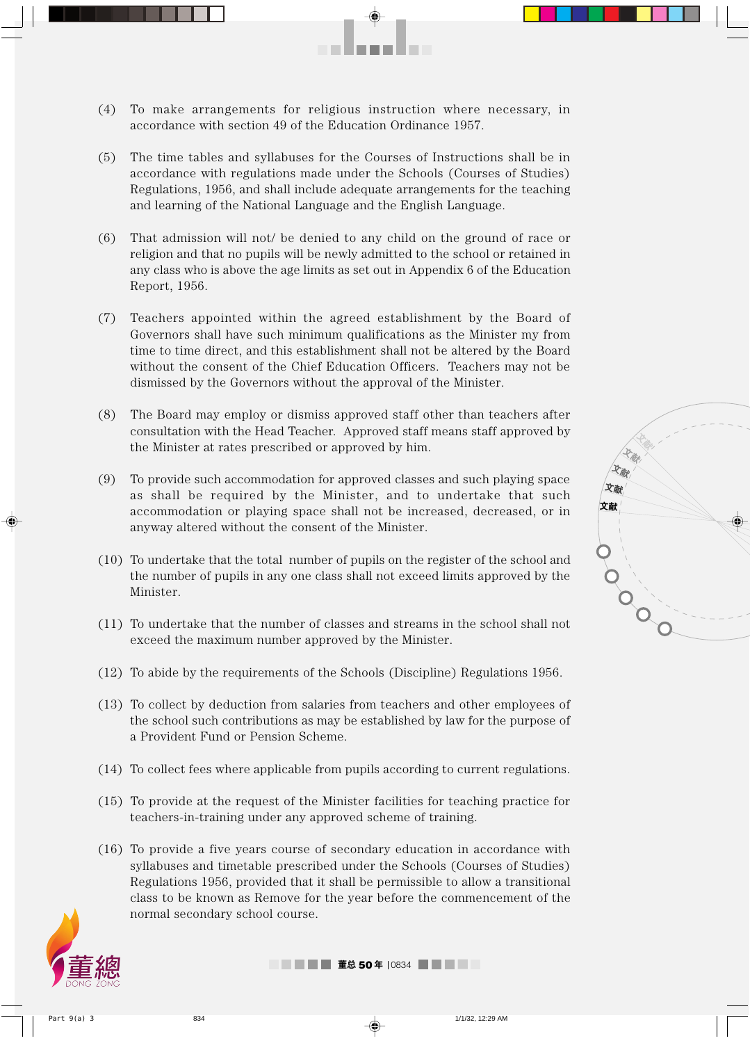

. . . . . . . . .

- (5) The time tables and syllabuses for the Courses of Instructions shall be in accordance with regulations made under the Schools (Courses of Studies) Regulations, 1956, and shall include adequate arrangements for the teaching and learning of the National Language and the English Language.
- (6) That admission will not/ be denied to any child on the ground of race or religion and that no pupils will be newly admitted to the school or retained in any class who is above the age limits as set out in Appendix 6 of the Education Report, 1956.
- (7) Teachers appointed within the agreed establishment by the Board of Governors shall have such minimum qualifications as the Minister my from time to time direct, and this establishment shall not be altered by the Board without the consent of the Chief Education Officers. Teachers may not be dismissed by the Governors without the approval of the Minister.
- (8) The Board may employ or dismiss approved staff other than teachers after consultation with the Head Teacher. Approved staff means staff approved by the Minister at rates prescribed or approved by him.
- (9) To provide such accommodation for approved classes and such playing space as shall be required by the Minister, and to undertake that such accommodation or playing space shall not be increased, decreased, or in anyway altered without the consent of the Minister.
- (10) To undertake that the total number of pupils on the register of the school and the number of pupils in any one class shall not exceed limits approved by the Minister.
- (11) To undertake that the number of classes and streams in the school shall not exceed the maximum number approved by the Minister.
- (12) To abide by the requirements of the Schools (Discipline) Regulations 1956.
- (13) To collect by deduction from salaries from teachers and other employees of the school such contributions as may be established by law for the purpose of a Provident Fund or Pension Scheme.
- (14) To collect fees where applicable from pupils according to current regulations.
- (15) To provide at the request of the Minister facilities for teaching practice for teachers-in-training under any approved scheme of training.
- (16) To provide a five years course of secondary education in accordance with syllabuses and timetable prescribed under the Schools (Courses of Studies) Regulations 1956, provided that it shall be permissible to allow a transitional class to be known as Remove for the year before the commencement of the normal secondary school course.